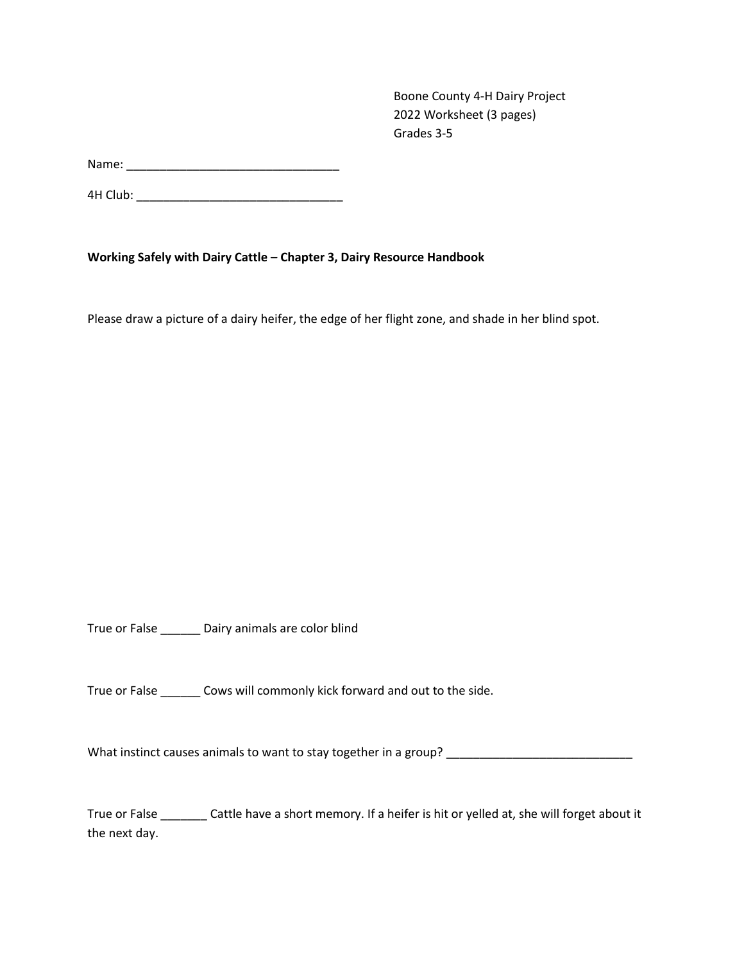Boone County 4-H Dairy Project 2022 Worksheet (3 pages) Grades 3-5

Name: \_\_\_\_\_\_\_\_\_\_\_\_\_\_\_\_\_\_\_\_\_\_\_\_\_\_\_\_\_\_\_\_

4H Club: \_\_\_\_\_\_\_\_\_\_\_\_\_\_\_\_\_\_\_\_\_\_\_\_\_\_\_\_\_\_\_

**Working Safely with Dairy Cattle – Chapter 3, Dairy Resource Handbook**

Please draw a picture of a dairy heifer, the edge of her flight zone, and shade in her blind spot.

True or False \_\_\_\_\_\_ Dairy animals are color blind

True or False \_\_\_\_\_\_ Cows will commonly kick forward and out to the side.

What instinct causes animals to want to stay together in a group? \_\_\_\_\_\_\_\_\_\_\_\_\_\_\_\_\_\_\_\_\_\_\_\_\_\_\_\_

True or False \_\_\_\_\_\_\_ Cattle have a short memory. If a heifer is hit or yelled at, she will forget about it the next day.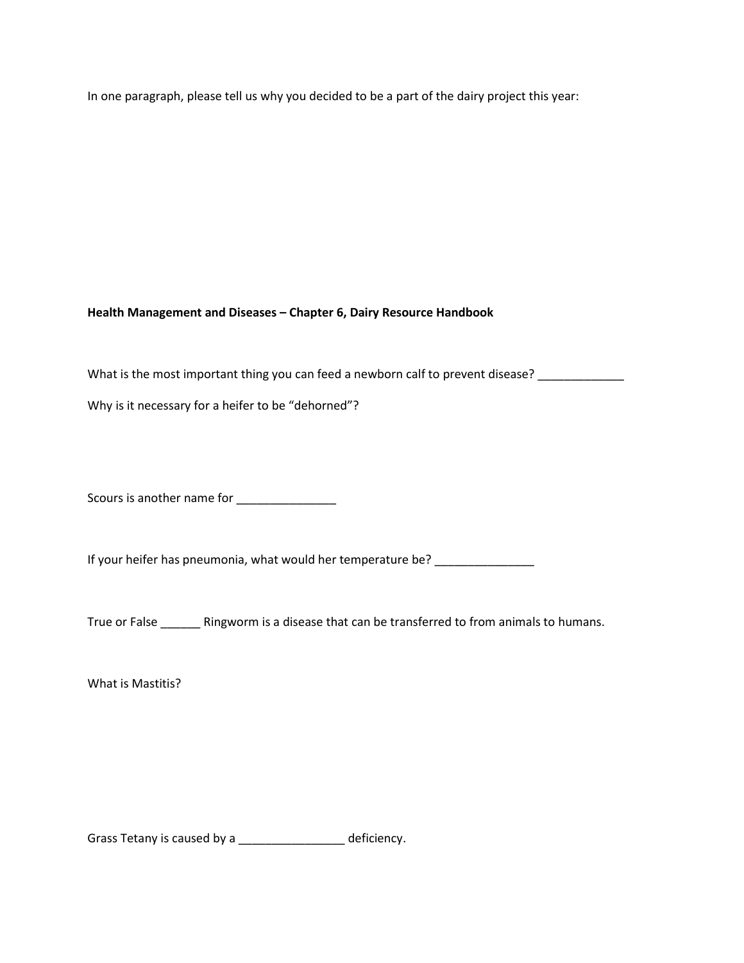In one paragraph, please tell us why you decided to be a part of the dairy project this year:

**Health Management and Diseases – Chapter 6, Dairy Resource Handbook**

What is the most important thing you can feed a newborn calf to prevent disease? \_\_\_\_\_\_\_\_\_\_\_\_\_\_\_\_\_\_\_\_\_\_\_\_\_\_\_\_\_

Why is it necessary for a heifer to be "dehorned"?

Scours is another name for \_\_\_\_\_\_\_\_\_\_\_\_\_\_\_

If your heifer has pneumonia, what would her temperature be? \_\_\_\_\_\_\_\_\_\_\_\_\_\_\_\_\_\_\_

True or False \_\_\_\_\_\_ Ringworm is a disease that can be transferred to from animals to humans.

What is Mastitis?

Grass Tetany is caused by a \_\_\_\_\_\_\_\_\_\_\_\_\_\_\_\_\_ deficiency.